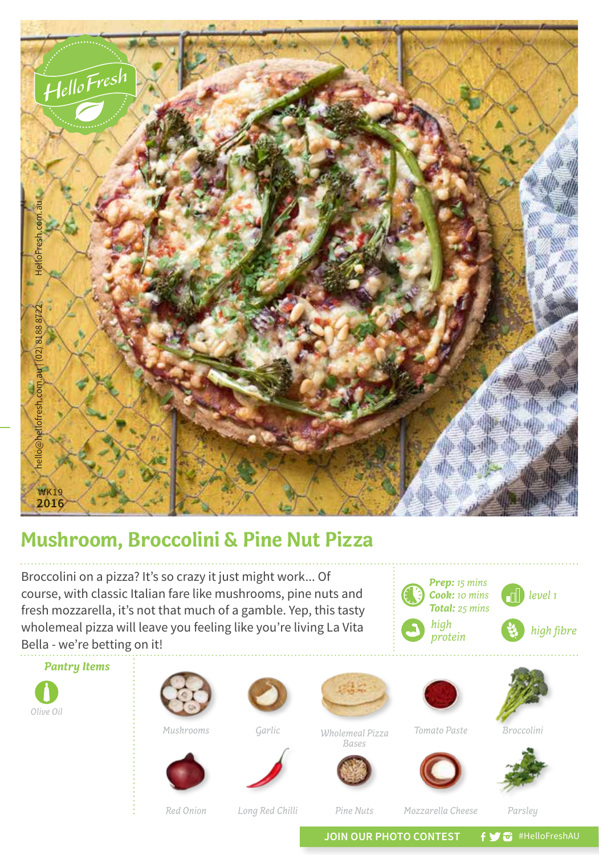

## **Mushroom, Broccolini & Pine Nut Pizza**

Broccolini on a pizza? It's so crazy it just might work... Of course, with classic Italian fare like mushrooms, pine nuts and fresh mozzarella, it's not that much of a gamble. Yep, this tasty wholemeal pizza will leave you feeling like you're living La Vita Bella - we're betting on it!



*Red Onion*

Long Red Chilli *Pine Nuts* Mozzarella Cheese Parsley

*Pine Nuts*

*Mozzarella Cheese*

*Prep: 15 mins Cook: 10 mins Total: 25 mins*

*high* 

JOIN OUR PHOTO CONTEST **f y a** #HelloFreshAU

*level 1*

 $high$  *fibre*